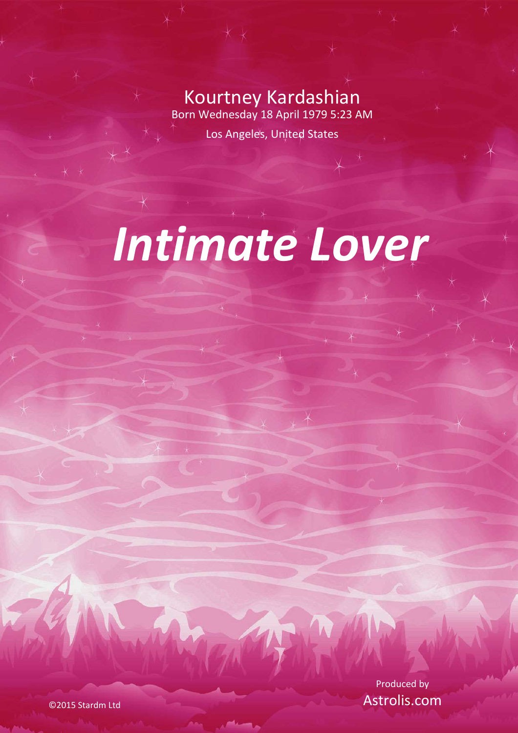Kourtney Kardashian Born Wednesday 18 April 1979 5:23 AM

Los Angeles, United States

# *Intimate Lover*

Produced by Astrolis.com

©2015 Stardm Ltd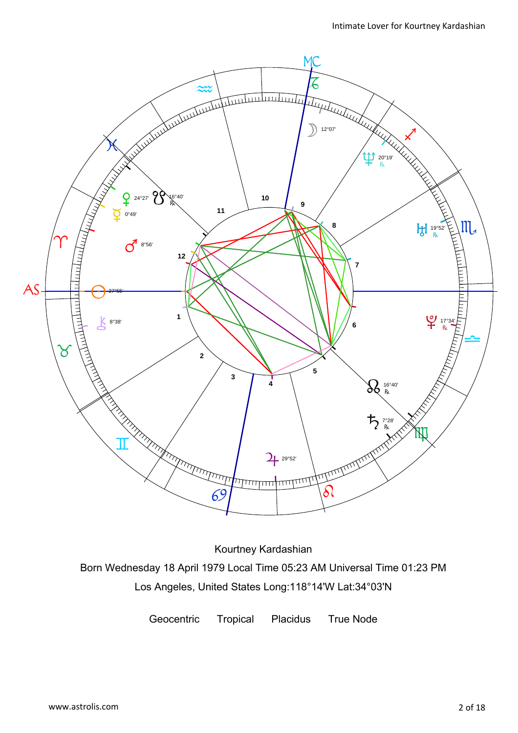

Kourtney Kardashian Born Wednesday 18 April 1979 Local Time 05:23 AM Universal Time 01:23 PM Los Angeles, United States Long:118°14'W Lat:34°03'N

Geocentric Tropical Placidus True Node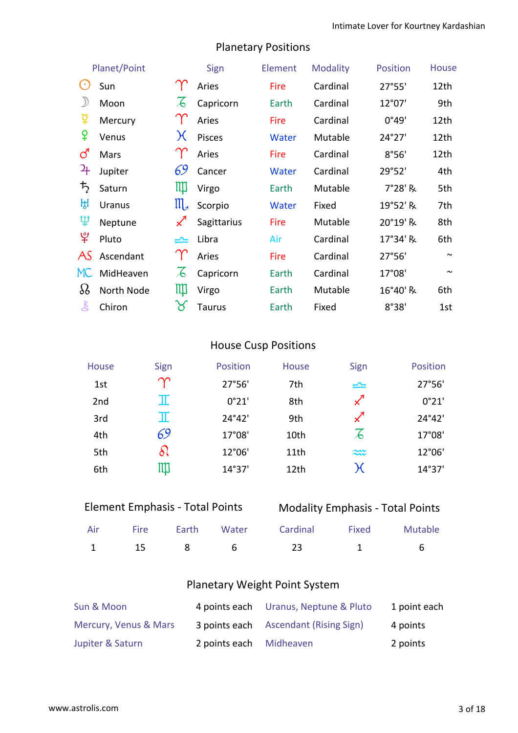8°38' 1st

| Planet/Point               |            | Sign          | Element     | <b>Modality</b> | <b>Position</b> | <b>House</b> |                       |
|----------------------------|------------|---------------|-------------|-----------------|-----------------|--------------|-----------------------|
| $\left( \cdot \right)$     | Sun        |               | Aries       | Fire            | Cardinal        | 27°55'       | 12th                  |
|                            | Moon       | $\mathcal{A}$ | Capricorn   | Earth           | Cardinal        | 12°07'       | 9th                   |
| 革                          | Mercury    |               | Aries       | Fire            | Cardinal        | 0°49'        | 12th                  |
| ¥                          | Venus      | $\chi$        | Pisces      | Water           | Mutable         | 24°27'       | 12th                  |
| ර                          | Mars       |               | Aries       | Fire            | Cardinal        | 8°56'        | 12th                  |
| $\mathcal{L}_{\mathsf{H}}$ | Jupiter    | 69            | Cancer      | Water           | Cardinal        | 29°52'       | 4th                   |
| $\bm{\bar{5}}$             | Saturn     | Щ             | Virgo       | Earth           | Mutable         | 7°28' R      | 5th                   |
| ਮ੍ਹਿ                       | Uranus     | $\mathbb{II}$ | Scorpio     | Water           | Fixed           | 19°52' R     | 7th                   |
| Ψ                          | Neptune    |               | Sagittarius | Fire            | Mutable         | 20°19' R     | 8th                   |
| ೪                          | Pluto      | یمی           | Libra       | Air             | Cardinal        | 17°34' R     | 6th                   |
| AS                         | Ascendant  |               | Aries       | Fire            | Cardinal        | 27°56'       | $\sim$                |
| MC.                        | MidHeaven  | $\mathcal{F}$ | Capricorn   | Earth           | Cardinal        | 17°08'       | $\tilde{\phantom{a}}$ |
| 88                         | North Node | Щ             | Virgo       | Earth           | Mutable         | 16°40' R     | 6th                   |

## Planetary Positions

## House Cusp Positions

Earth

Fixed

| House           | Sign          | Position        | House            | Sign                       | Position |
|-----------------|---------------|-----------------|------------------|----------------------------|----------|
| 1st             | $\bm{\gamma}$ | 27°56'          | 7th              | $\rightleftharpoons$       | 27°56'   |
| 2 <sub>nd</sub> | $\mathbb T$   | 0°21'           | 8th              | $\boldsymbol{\mathcal{Z}}$ | 0°21'    |
| 3rd             | $\mathbb I$   | $24^{\circ}42'$ | 9th              | $\boldsymbol{\mathcal{Z}}$ | 24°42'   |
| 4th             | 69            | 17°08'          | 10th             | $\overline{A}$             | 17°08'   |
| 5th             | $\delta l$    | 12°06'          | 11 <sub>th</sub> | $\widetilde{\sim}$         | 12°06'   |
| 6th             | ЩI            | 14°37'          | 12th             | $\bm{\mathcal{H}}$         | 14°37'   |

| <b>Element Emphasis - Total Points</b> |  |
|----------------------------------------|--|
|----------------------------------------|--|

Chiron  $\gamma$  Taurus

## Modality Emphasis - Total Points

|  |  | Air Fire Earth Water Cardinal Fixed Mutable |  |
|--|--|---------------------------------------------|--|
|  |  | 1 15 8 6 23 1 6                             |  |

## Planetary Weight Point System

| Sun & Moon            |                         | 4 points each Uranus, Neptune & Pluto | 1 point each |
|-----------------------|-------------------------|---------------------------------------|--------------|
| Mercury, Venus & Mars |                         | 3 points each Ascendant (Rising Sign) | 4 points     |
| Jupiter & Saturn      | 2 points each Midheaven |                                       | 2 points     |

 $\mathbf{k}$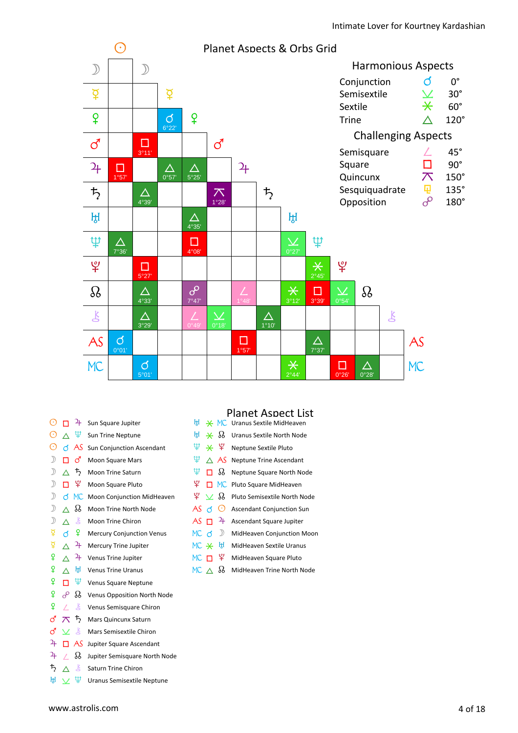

| $_{\odot}$                                                                                                   |                          | 4              | Sun Square Jupiter                 |
|--------------------------------------------------------------------------------------------------------------|--------------------------|----------------|------------------------------------|
| ⊙                                                                                                            | Λ                        | Ψ              | Sun Trine Neptune                  |
| $_{\odot}$                                                                                                   |                          | ය AS           | <b>Sun Conjunction Ascendant</b>   |
| $\mathcal{D}$                                                                                                |                          | <b>ි</b>       | <b>Moon Square Mars</b>            |
| $\mathcal{D}$                                                                                                | $\wedge$                 | $\bm{\bar{5}}$ | <b>Moon Trine Saturn</b>           |
| $\mathcal{D}$                                                                                                | п                        | ¥              | Moon Square Pluto                  |
| $\mathcal{D}% _{T}=\mathcal{D}_{T}\!\left( a,b\right) ,\mathcal{D}_{T}=\mathcal{D}_{T}\!\left( a,b\right) ,$ | ර                        | <b>MC</b>      | Moon Conjunction MidHeaven         |
| $\mathcal{D}$                                                                                                | ∧                        | ஃ              | Moon Trine North Node              |
| $\mathcal{D}$                                                                                                | Λ                        | Å              | <b>Moon Trine Chiron</b>           |
| ₫                                                                                                            | đ                        | ¥              | <b>Mercury Conjunction Venus</b>   |
| ₫                                                                                                            | Λ                        | 4              | <b>Mercury Trine Jupiter</b>       |
| ¥                                                                                                            | ∧                        | 4              | Venus Trine Jupiter                |
| ¥                                                                                                            | ∧                        | ਸ਼੍ਰਮ          | <b>Venus Trine Uranus</b>          |
| ¥                                                                                                            | п                        | Ψ              | Venus Square Neptune               |
| ¥                                                                                                            | ൙                        | B              | <b>Venus Opposition North Node</b> |
| ¥                                                                                                            |                          | Ľ              | Venus Semisquare Chiron            |
| ්                                                                                                            | $\overline{\mathcal{N}}$ | $\bm{\bar{r}}$ | <b>Mars Quincunx Saturn</b>        |
| ර                                                                                                            | $\checkmark$             | 飞              | Mars Semisextile Chiron            |
| 24                                                                                                           |                          | AS.            | Jupiter Square Ascendant           |
| 24                                                                                                           |                          | B              | Jupiter Semisquare North Node      |
| $\ddagger$                                                                                                   | Λ                        | Ŗ              | <b>Saturn Trine Chiron</b>         |

 $\mathbb{H} \vee \mathbb{P}$  Uranus Semisextile Neptune

#### Planet Aspect List

|                            |                                  |               | は * MC Uranus Sextile MidHeaven        |
|----------------------------|----------------------------------|---------------|----------------------------------------|
|                            | $H \times \mathcal{B}$           |               | Uranus Sextile North Node              |
| Ψ                          |                                  | $*$ ¥         | Neptune Sextile Pluto                  |
| Ψ                          |                                  |               | $\triangle$ AS Neptune Trine Ascendant |
| Ψ                          |                                  | ⊓ აა          | Neptune Square North Node              |
| ょ                          |                                  |               | MC Pluto Square MidHeaven              |
|                            | $\mathcal{L} \times \mathcal{S}$ |               | Pluto Semisextile North Node           |
| AS $\triangleleft$ $\odot$ |                                  |               | <b>Ascendant Conjunction Sun</b>       |
| $AS$ $\Box$                |                                  | $\rightarrow$ | Ascendant Square Jupiter               |
| MC <sub>d</sub>            |                                  | $\mathcal{D}$ | MidHeaven Conjunction Moon             |
| $MC \times H$              |                                  |               | MidHeaven Sextile Uranus               |
| $MC$ $\Box$                |                                  | ஂ             | MidHeaven Square Pluto                 |
| MC $\wedge$                |                                  | ℅             | MidHeaven Trine North Node             |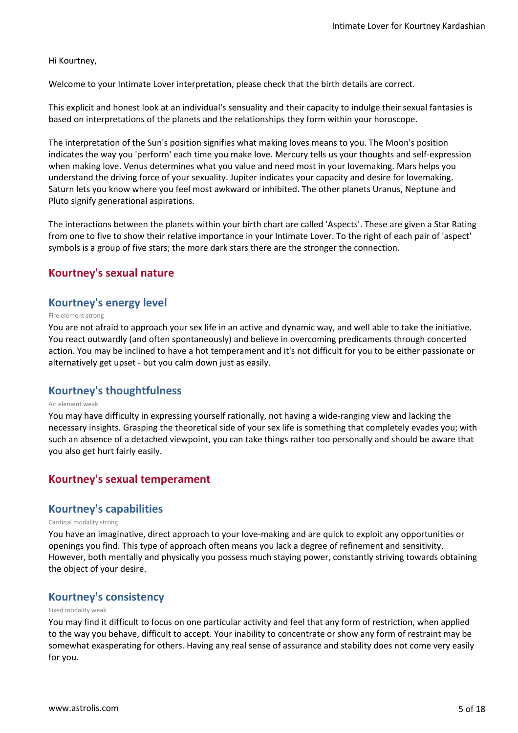#### Hi Kourtney,

Welcome to your Intimate Lover interpretation, please check that the birth details are correct.

This explicit and honest look at an individual's sensuality and their capacity to indulge their sexual fantasies is based on interpretations of the planets and the relationships they form within your horoscope.

The interpretation of the Sun's position signifies what making loves means to you. The Moon's position indicates the way you 'perform' each time you make love. Mercury tells us your thoughts and self-expression when making love. Venus determines what you value and need most in your lovemaking. Mars helps you understand the driving force of your sexuality. Jupiter indicates your capacity and desire for lovemaking. Saturn lets you know where you feel most awkward or inhibited. The other planets Uranus, Neptune and Pluto signify generational aspirations.

The interactions between the planets within your birth chart are called 'Aspects'. These are given a Star Rating from one to five to show their relative importance in your Intimate Lover. To the right of each pair of 'aspect' symbols is a group of five stars; the more dark stars there are the stronger the connection.

#### **Kourtney's sexual nature**

#### **Kourtney's energy level**

#### Fire element strong

You are not afraid to approach your sex life in an active and dynamic way, and well able to take the initiative. You react outwardly (and often spontaneously) and believe in overcoming predicaments through concerted action. You may be inclined to have a hot temperament and it's not difficult for you to be either passionate or alternatively get upset - but you calm down just as easily.

#### **Kourtney's thoughtfulness**

#### Air element weak

You may have difficulty in expressing yourself rationally, not having a wide-ranging view and lacking the necessary insights. Grasping the theoretical side of your sex life is something that completely evades you; with such an absence of a detached viewpoint, you can take things rather too personally and should be aware that you also get hurt fairly easily.

#### **Kourtney's sexual temperament**

#### **Kourtney's capabilities**

#### Cardinal modality strong

You have an imaginative, direct approach to your love-making and are quick to exploit any opportunities or openings you find. This type of approach often means you lack a degree of refinement and sensitivity. However, both mentally and physically you possess much staying power, constantly striving towards obtaining the object of your desire.

#### **Kourtney's consistency**

#### Fixed modality weak

You may find it difficult to focus on one particular activity and feel that any form of restriction, when applied to the way you behave, difficult to accept. Your inability to concentrate or show any form of restraint may be somewhat exasperating for others. Having any real sense of assurance and stability does not come very easily for you.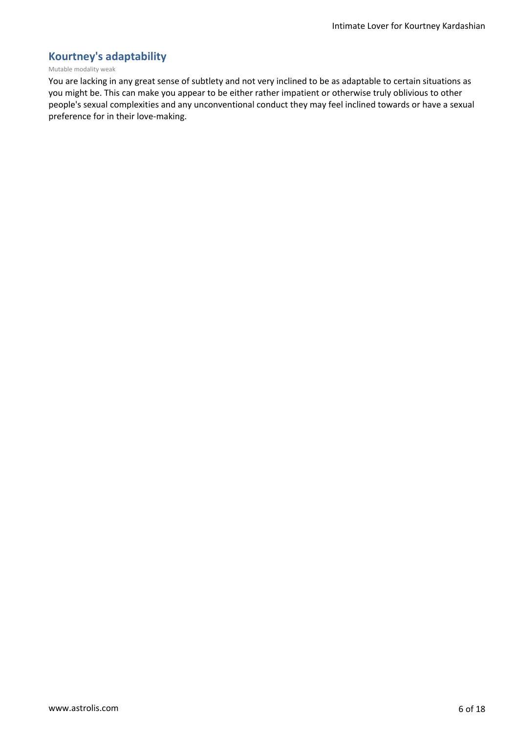## **Kourtney's adaptability**

#### Mutable modality weak

You are lacking in any great sense of subtlety and not very inclined to be as adaptable to certain situations as you might be. This can make you appear to be either rather impatient or otherwise truly oblivious to other people's sexual complexities and any unconventional conduct they may feel inclined towards or have a sexual preference for in their love-making.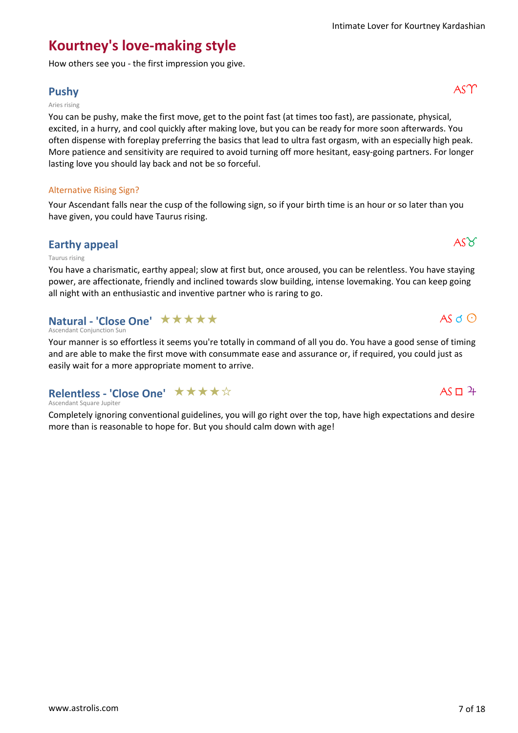## **Kourtney's love-making style**

How others see you - the first impression you give.

## **Pushy** ASM

#### Aries rising

You can be pushy, make the first move, get to the point fast (at times too fast), are passionate, physical, excited, in a hurry, and cool quickly after making love, but you can be ready for more soon afterwards. You often dispense with foreplay preferring the basics that lead to ultra fast orgasm, with an especially high peak. More patience and sensitivity are required to avoid turning off more hesitant, easy-going partners. For longer lasting love you should lay back and not be so forceful.

#### Alternative Rising Sign?

Your Ascendant falls near the cusp of the following sign, so if your birth time is an hour or so later than you have given, you could have Taurus rising.

## **Earthy appeal**  $\overrightarrow{AS\varnothing}$

#### Taurus rising

You have a charismatic, earthy appeal; slow at first but, once aroused, you can be relentless. You have staying power, are affectionate, friendly and inclined towards slow building, intense lovemaking. You can keep going all night with an enthusiastic and inventive partner who is raring to go.

## **Natural - 'Close One' ★★★★★**

#### Ascendant Conjunction Sun

Your manner is so effortless it seems you're totally in command of all you do. You have a good sense of timing and are able to make the first move with consummate ease and assurance or, if required, you could just as easily wait for a more appropriate moment to arrive.

#### **Relentless - 'Close One'** ★★★★☆

#### Ascendant Square Jupiter

Completely ignoring conventional guidelines, you will go right over the top, have high expectations and desire more than is reasonable to hope for. But you should calm down with age!

 $AS \circ O$ 

 $AS \Box 4$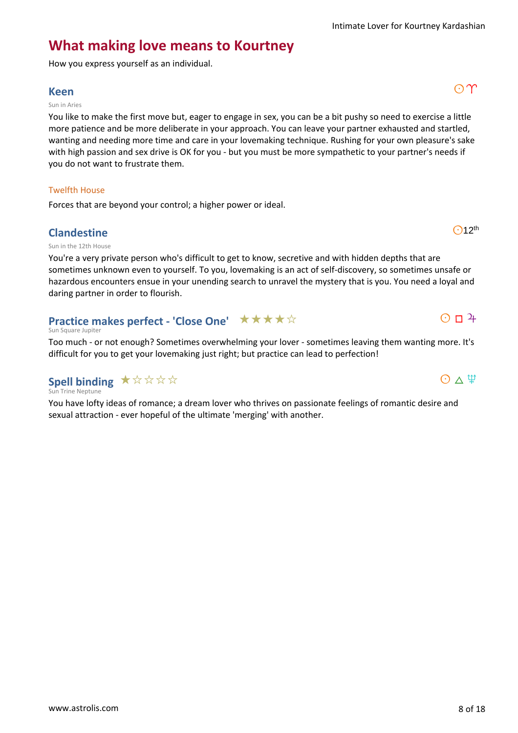$O$ 12<sup>th</sup>

 $O$   $\Box$   $4$ 

 $O \wedge \Psi$ 

## **What making love means to Kourtney**

How you express yourself as an individual.

## **Keen** and an analysis of  $\mathbb{C}[\Upsilon]$

#### Sun in Aries

You like to make the first move but, eager to engage in sex, you can be a bit pushy so need to exercise a little more patience and be more deliberate in your approach. You can leave your partner exhausted and startled, wanting and needing more time and care in your lovemaking technique. Rushing for your own pleasure's sake with high passion and sex drive is OK for you - but you must be more sympathetic to your partner's needs if you do not want to frustrate them.

#### Twelfth House

Forces that are beyond your control; a higher power or ideal.

#### **Clandestine**

Sun in the 12th House

You're a very private person who's difficult to get to know, secretive and with hidden depths that are sometimes unknown even to yourself. To you, lovemaking is an act of self-discovery, so sometimes unsafe or hazardous encounters ensue in your unending search to unravel the mystery that is you. You need a loyal and daring partner in order to flourish.

#### **Practice makes perfect - 'Close One'** ★★★★☆

#### Sun Square Jupiter

Too much - or not enough? Sometimes overwhelming your lover - sometimes leaving them wanting more. It's difficult for you to get your lovemaking just right; but practice can lead to perfection!

### **Spell binding**  $\star \, \forall \, \forall \, \forall \, \forall$

#### Sun Trine Neptune

You have lofty ideas of romance; a dream lover who thrives on passionate feelings of romantic desire and sexual attraction - ever hopeful of the ultimate 'merging' with another.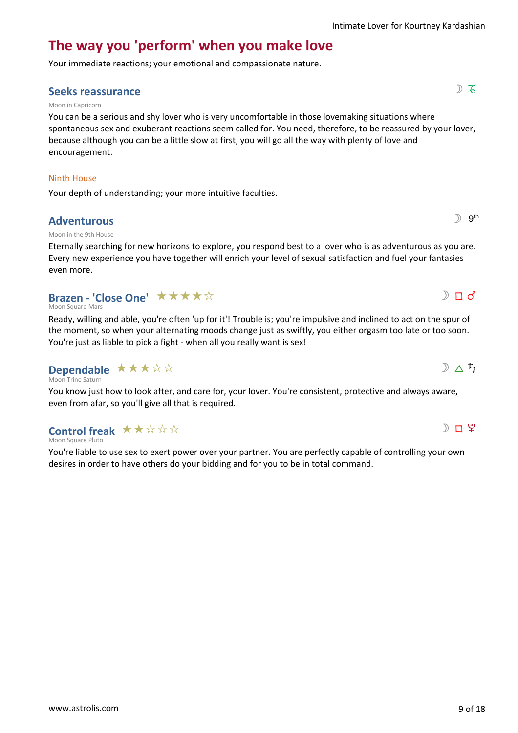# **The way you 'perform' when you make love**

Your immediate reactions; your emotional and compassionate nature.

## **Seeks reassurance** show that the set of  $\mathbb{R}$  is  $\mathbb{S}$  is  $\mathbb{S}$  is  $\mathbb{S}$  is  $\mathbb{S}$  is  $\mathbb{S}$  is  $\mathbb{S}$  is  $\mathbb{S}$  is  $\mathbb{S}$  is  $\mathbb{S}$  is  $\mathbb{S}$  is  $\mathbb{S}$  is  $\mathbb{S}$  is  $\mathbb{S}$  is  $\mathbb{S}$  is

#### Moon in Capricorn

You can be a serious and shy lover who is very uncomfortable in those lovemaking situations where spontaneous sex and exuberant reactions seem called for. You need, therefore, to be reassured by your lover, because although you can be a little slow at first, you will go all the way with plenty of love and encouragement.

#### Ninth House

Your depth of understanding; your more intuitive faculties.

#### **Adventurous**

#### Moon in the 9th House

Eternally searching for new horizons to explore, you respond best to a lover who is as adventurous as you are. Every new experience you have together will enrich your level of sexual satisfaction and fuel your fantasies even more.

## **Brazen - 'Close One' ★★★★**☆

Moon Square Mars

Ready, willing and able, you're often 'up for it'! Trouble is; you're impulsive and inclined to act on the spur of the moment, so when your alternating moods change just as swiftly, you either orgasm too late or too soon. You're just as liable to pick a fight - when all you really want is sex!

#### Moon Trine Saturn **Dependable** \*\*\*\*\*

You know just how to look after, and care for, your lover. You're consistent, protective and always aware, even from afar, so you'll give all that is required.

## **Control freak**  $\star \star \star \star \star \star$

Moon Square Pluto

You're liable to use sex to exert power over your partner. You are perfectly capable of controlling your own desires in order to have others do your bidding and for you to be in total command.



 $D \triangle f$ 

 $\mathbb{D}$  gth

 $D \Pi d'$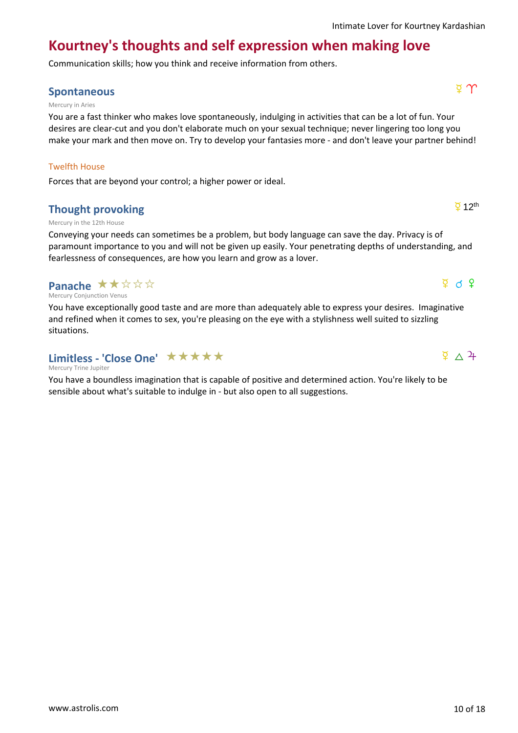$\overline{2}$  12<sup>th</sup>

 $\Phi$  d  $\Phi$ 

 $\sqrt{4}$   $\Delta$  4

# **Kourtney's thoughts and self expression when making love**

Communication skills; how you think and receive information from others.

## **Spontaneous** d 1

#### Mercury in Aries

You are a fast thinker who makes love spontaneously, indulging in activities that can be a lot of fun. Your desires are clear-cut and you don't elaborate much on your sexual technique; never lingering too long you make your mark and then move on. Try to develop your fantasies more - and don't leave your partner behind!

#### Twelfth House

Forces that are beyond your control; a higher power or ideal.

## **Thought provoking**

#### Mercury in the 12th House

Conveying your needs can sometimes be a problem, but body language can save the day. Privacy is of paramount importance to you and will not be given up easily. Your penetrating depths of understanding, and fearlessness of consequences, are how you learn and grow as a lover.

## **Panache ★★☆☆☆**

Mercury Conjunction Venus

You have exceptionally good taste and are more than adequately able to express your desires. Imaginative and refined when it comes to sex, you're pleasing on the eye with a stylishness well suited to sizzling situations.

## Limitless - 'Close One' ★★★★★

Mercury Trine Jupiter

You have a boundless imagination that is capable of positive and determined action. You're likely to be sensible about what's suitable to indulge in - but also open to all suggestions.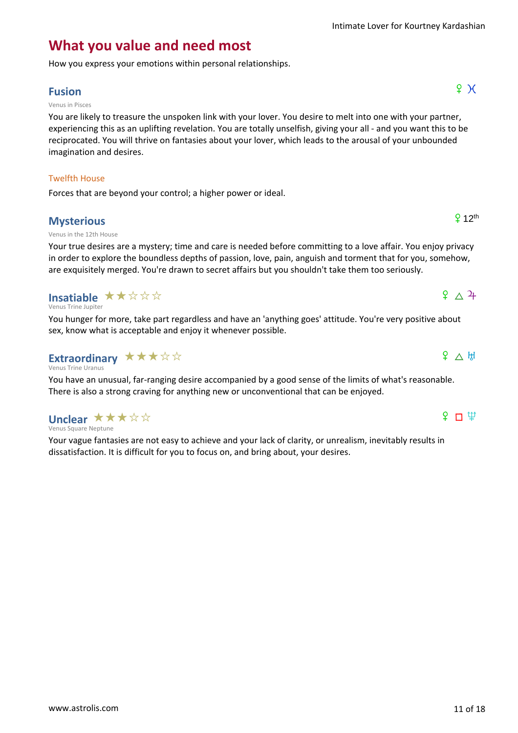## **What you value and need most**

How you express your emotions within personal relationships.

## **Fusion**  $\qquad \qquad \qquad$   $\qquad \qquad$   $\qquad \qquad$   $\qquad \qquad$   $\qquad \qquad$   $\qquad \qquad$   $\qquad \qquad$   $\qquad \qquad$   $\qquad \qquad$   $\qquad \qquad$   $\qquad \qquad$   $\qquad \qquad$   $\qquad \qquad$   $\qquad \qquad$   $\qquad \qquad$   $\qquad \qquad$   $\qquad \qquad$   $\qquad \qquad$   $\qquad \qquad$   $\qquad \qquad$   $\qquad \qquad$   $\qquad \qquad$   $\qquad \qquad$   $\$

#### Venus in Pisces

You are likely to treasure the unspoken link with your lover. You desire to melt into one with your partner, experiencing this as an uplifting revelation. You are totally unselfish, giving your all - and you want this to be reciprocated. You will thrive on fantasies about your lover, which leads to the arousal of your unbounded imagination and desires.

#### Twelfth House

Forces that are beyond your control; a higher power or ideal.

#### **Mysterious**

#### Venus in the 12th House

Your true desires are a mystery; time and care is needed before committing to a love affair. You enjoy privacy in order to explore the boundless depths of passion, love, pain, anguish and torment that for you, somehow, are exquisitely merged. You're drawn to secret affairs but you shouldn't take them too seriously.

## **Insatiable ★★☆☆☆**

Venus Trine Jupiter

Venus Square Neptune

**Unclear ★★★☆☆** 

You hunger for more, take part regardless and have an 'anything goes' attitude. You're very positive about sex, know what is acceptable and enjoy it whenever possible.

#### Venus Trine Uranus Extraordinary  $\star \star \star \star \star$

You have an unusual, far-ranging desire accompanied by a good sense of the limits of what's reasonable. There is also a strong craving for anything new or unconventional that can be enjoyed.

Your vague fantasies are not easy to achieve and your lack of clarity, or unrealism, inevitably results in dissatisfaction. It is difficult for you to focus on, and bring about, your desires.

## $f \Box \Psi$

 $9 \triangle H$ 

## $9 \wedge 4$

 $912$ <sup>th</sup>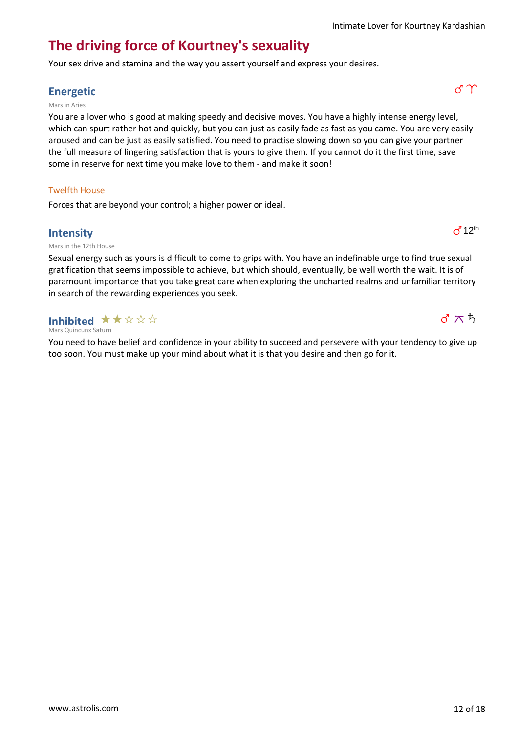## **The driving force of Kourtney's sexuality**

Your sex drive and stamina and the way you assert yourself and express your desires.

## **Energetic** g1

#### Mars in Aries

You are a lover who is good at making speedy and decisive moves. You have a highly intense energy level, which can spurt rather hot and quickly, but you can just as easily fade as fast as you came. You are very easily aroused and can be just as easily satisfied. You need to practise slowing down so you can give your partner the full measure of lingering satisfaction that is yours to give them. If you cannot do it the first time, save some in reserve for next time you make love to them - and make it soon!

#### Twelfth House

Forces that are beyond your control; a higher power or ideal.

#### **Intensity**

Mars in the 12th House

Sexual energy such as yours is difficult to come to grips with. You have an indefinable urge to find true sexual gratification that seems impossible to achieve, but which should, eventually, be well worth the wait. It is of paramount importance that you take great care when exploring the uncharted realms and unfamiliar territory in search of the rewarding experiences you seek.

Mars Quincunx Saturn Inhibited  $\star \star \; \star \; \star \; \star$ 

You need to have belief and confidence in your ability to succeed and persevere with your tendency to give up too soon. You must make up your mind about what it is that you desire and then go for it.



 $d^12$ <sup>th</sup>

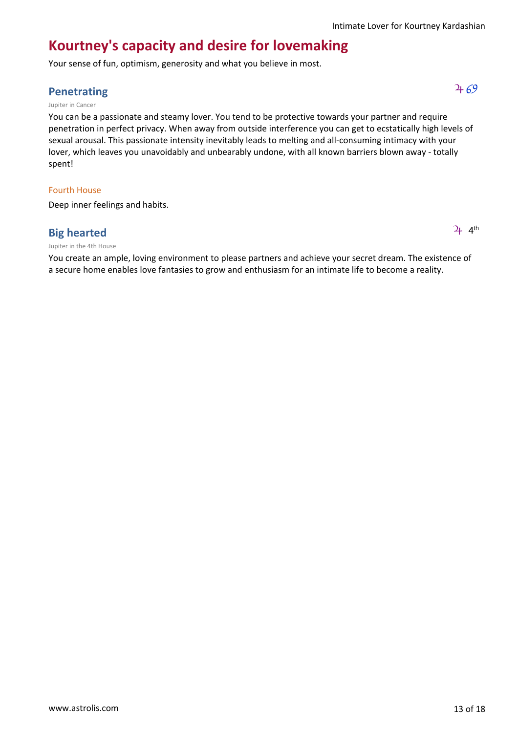## **Kourtney's capacity and desire for lovemaking**

Your sense of fun, optimism, generosity and what you believe in most.

## **Penetrating**  $469$

#### Jupiter in Cancer

You can be a passionate and steamy lover. You tend to be protective towards your partner and require penetration in perfect privacy. When away from outside interference you can get to ecstatically high levels of sexual arousal. This passionate intensity inevitably leads to melting and all-consuming intimacy with your lover, which leaves you unavoidably and unbearably undone, with all known barriers blown away - totally spent!

#### Fourth House

Deep inner feelings and habits.

#### **Big hearted**

#### Jupiter in the 4th House

You create an ample, loving environment to please partners and achieve your secret dream. The existence of a secure home enables love fantasies to grow and enthusiasm for an intimate life to become a reality.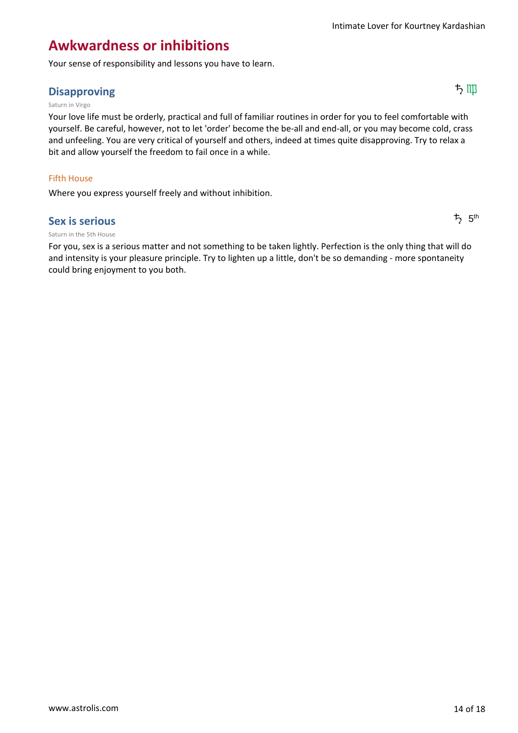## **Awkwardness or inhibitions**

Your sense of responsibility and lessons you have to learn.

## Disapproving ちゅうしゃ しょうしょう しょうしょう しょうしょう しょうしょう しょうしょう しょうしょう しょうしょう しょうしょう しょうしょう しょうしょう

#### Saturn in Virgo

Your love life must be orderly, practical and full of familiar routines in order for you to feel comfortable with yourself. Be careful, however, not to let 'order' become the be-all and end-all, or you may become cold, crass and unfeeling. You are very critical of yourself and others, indeed at times quite disapproving. Try to relax a bit and allow yourself the freedom to fail once in a while.

#### Fifth House

Where you express yourself freely and without inhibition.

#### **Sex is serious**

#### Saturn in the 5th House

For you, sex is a serious matter and not something to be taken lightly. Perfection is the only thing that will do and intensity is your pleasure principle. Try to lighten up a little, don't be so demanding - more spontaneity could bring enjoyment to you both.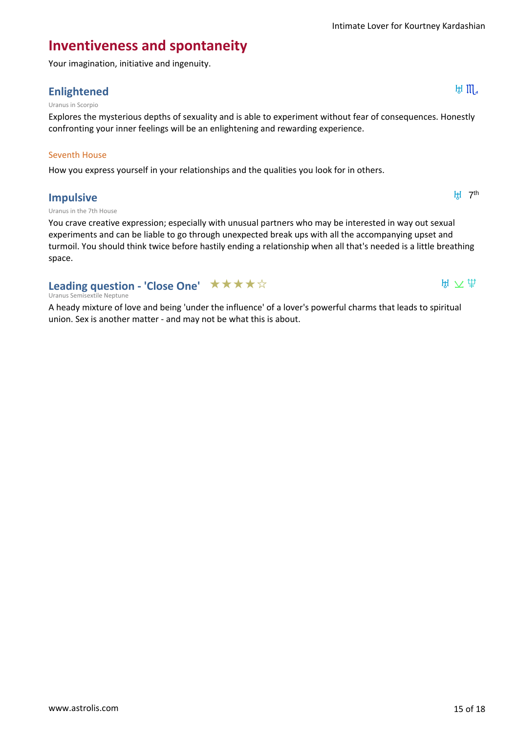## **Inventiveness and spontaneity**

Your imagination, initiative and ingenuity.

## **Enlightened** Enlightened

#### Uranus in Scorpio

Explores the mysterious depths of sexuality and is able to experiment without fear of consequences. Honestly confronting your inner feelings will be an enlightening and rewarding experience.

#### Seventh House

How you express yourself in your relationships and the qualities you look for in others.

#### **Impulsive**

**H** 7<sup>th</sup>

 $H \times \mathfrak{P}$ 

#### Uranus in the 7th House

You crave creative expression; especially with unusual partners who may be interested in way out sexual experiments and can be liable to go through unexpected break ups with all the accompanying upset and turmoil. You should think twice before hastily ending a relationship when all that's needed is a little breathing space.

## **Leading question - 'Close One'** ★★★★☆

#### Uranus Semisextile Neptune

A heady mixture of love and being 'under the influence' of a lover's powerful charms that leads to spiritual union. Sex is another matter - and may not be what this is about.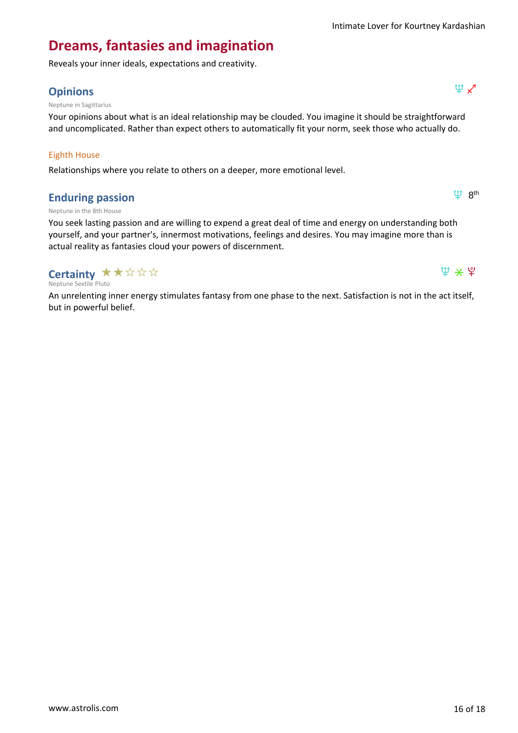th 8<sup>th</sup>

 $\Psi$   $\star$   $\Psi$ 

## **Dreams, fantasies and imagination**

Reveals your inner ideals, expectations and creativity.

## **Opinions**  $\Psi \times$

Neptune in Sagittarius

Your opinions about what is an ideal relationship may be clouded. You imagine it should be straightforward and uncomplicated. Rather than expect others to automatically fit your norm, seek those who actually do.

#### Eighth House

Relationships where you relate to others on a deeper, more emotional level.

#### **Enduring passion**

Neptune in the 8th House

You seek lasting passion and are willing to expend a great deal of time and energy on understanding both yourself, and your partner's, innermost motivations, feelings and desires. You may imagine more than is actual reality as fantasies cloud your powers of discernment.

## **Certainty ★★☆☆☆**

Neptune Sextile Pluto

An unrelenting inner energy stimulates fantasy from one phase to the next. Satisfaction is not in the act itself, but in powerful belief.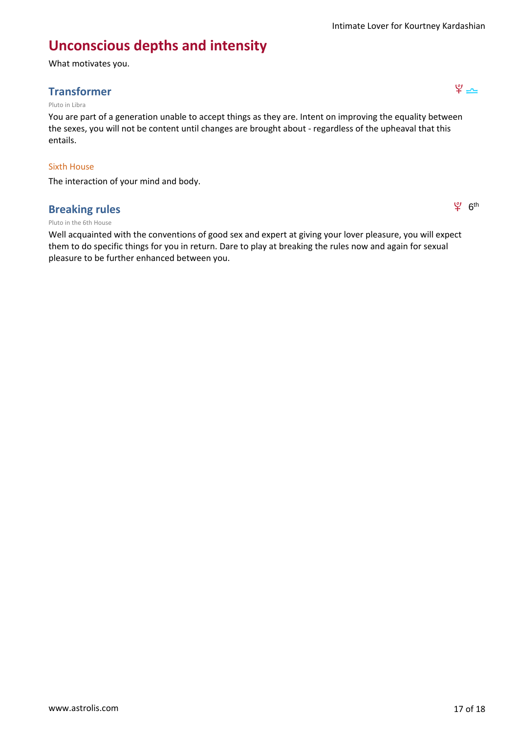## **Unconscious depths and intensity**

What motivates you.

## **Transformer** ; 7

#### Pluto in Libra

You are part of a generation unable to accept things as they are. Intent on improving the equality between the sexes, you will not be content until changes are brought about - regardless of the upheaval that this entails.

#### Sixth House

The interaction of your mind and body.

#### **Breaking rules**

#### Pluto in the 6th House

Well acquainted with the conventions of good sex and expert at giving your lover pleasure, you will expect them to do specific things for you in return. Dare to play at breaking the rules now and again for sexual pleasure to be further enhanced between you.



 $94$   $6<sup>th</sup>$